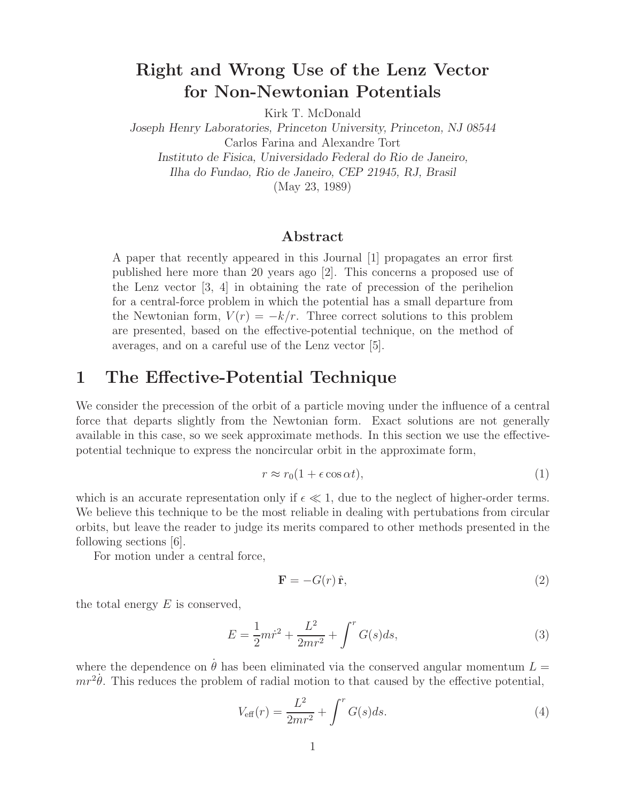# **Right and Wrong Use of the Lenz Vector for Non-Newtonian Potentials**

Kirk T. McDonald

*Joseph Henry Laboratories, Princeton University, Princeton, NJ 08544* Carlos Farina and Alexandre Tort *Instituto de Fisica, Universidado Federal do Rio de Janeiro, Ilha do Fundao, Rio de Janeiro, CEP 21945, RJ, Brasil*

(May 23, 1989)

#### **Abstract**

A paper that recently appeared in this Journal [1] propagates an error first published here more than 20 years ago [2]. This concerns a proposed use of the Lenz vector  $\begin{bmatrix} 3, 4 \end{bmatrix}$  in obtaining the rate of precession of the perihelion for a central-force problem in which the potential has a small departure from the Newtonian form,  $V(r) = -k/r$ . Three correct solutions to this problem are presented, based on the effective-potential technique, on the method of averages, and on a careful use of the Lenz vector [5].

#### **1 The Effective-Potential Technique**

We consider the precession of the orbit of a particle moving under the influence of a central force that departs slightly from the Newtonian form. Exact solutions are not generally available in this case, so we seek approximate methods. In this section we use the effectivepotential technique to express the noncircular orbit in the approximate form,

$$
r \approx r_0(1 + \epsilon \cos \alpha t),\tag{1}
$$

which is an accurate representation only if  $\epsilon \ll 1$ , due to the neglect of higher-order terms. We believe this technique to be the most reliable in dealing with pertubations from circular orbits, but leave the reader to judge its merits compared to other methods presented in the following sections [6].

For motion under a central force,

$$
\mathbf{F} = -G(r)\,\hat{\mathbf{r}},\tag{2}
$$

the total energy  $E$  is conserved,

$$
E = \frac{1}{2}mr^2 + \frac{L^2}{2mr^2} + \int^r G(s)ds,
$$
\n(3)

where the dependence on  $\dot{\theta}$  has been eliminated via the conserved angular momentum  $L =$  $mr^2\dot{\theta}$ . This reduces the problem of radial motion to that caused by the effective potential,

$$
V_{\text{eff}}(r) = \frac{L^2}{2mr^2} + \int^r G(s)ds.
$$
 (4)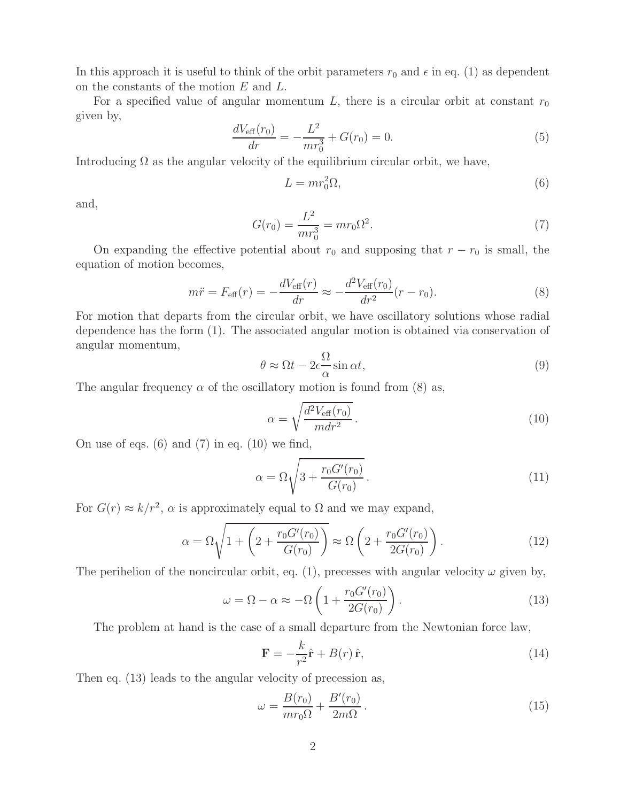In this approach it is useful to think of the orbit parameters  $r_0$  and  $\epsilon$  in eq. (1) as dependent on the constants of the motion E and L.

For a specified value of angular momentum  $L$ , there is a circular orbit at constant  $r_0$ given by,

$$
\frac{dV_{\text{eff}}(r_0)}{dr} = -\frac{L^2}{mr_0^3} + G(r_0) = 0.
$$
\n(5)

Introducing  $\Omega$  as the angular velocity of the equilibrium circular orbit, we have,

$$
L = mr_0^2 \Omega,\tag{6}
$$

and,

$$
G(r_0) = \frac{L^2}{mr_0^3} = mr_0\Omega^2.
$$
\n(7)

On expanding the effective potential about  $r_0$  and supposing that  $r - r_0$  is small, the equation of motion becomes,

$$
m\ddot{r} = F_{\text{eff}}(r) = -\frac{dV_{\text{eff}}(r)}{dr} \approx -\frac{d^2V_{\text{eff}}(r_0)}{dr^2}(r - r_0). \tag{8}
$$

For motion that departs from the circular orbit, we have oscillatory solutions whose radial dependence has the form (1). The associated angular motion is obtained via conservation of angular momentum,

$$
\theta \approx \Omega t - 2\epsilon \frac{\Omega}{\alpha} \sin \alpha t,\tag{9}
$$

The angular frequency  $\alpha$  of the oscillatory motion is found from (8) as,

$$
\alpha = \sqrt{\frac{d^2 V_{\text{eff}}(r_0)}{m dr^2}}.
$$
\n(10)

On use of eqs.  $(6)$  and  $(7)$  in eq.  $(10)$  we find,

$$
\alpha = \Omega \sqrt{3 + \frac{r_0 G'(r_0)}{G(r_0)}}.
$$
\n
$$
(11)
$$

For  $G(r) \approx k/r^2$ ,  $\alpha$  is approximately equal to  $\Omega$  and we may expand,

$$
\alpha = \Omega \sqrt{1 + \left(2 + \frac{r_0 G'(r_0)}{G(r_0)}\right)} \approx \Omega \left(2 + \frac{r_0 G'(r_0)}{2G(r_0)}\right). \tag{12}
$$

The perihelion of the noncircular orbit, eq. (1), precesses with angular velocity  $\omega$  given by,

$$
\omega = \Omega - \alpha \approx -\Omega \left( 1 + \frac{r_0 G'(r_0)}{2G(r_0)} \right). \tag{13}
$$

The problem at hand is the case of a small departure from the Newtonian force law,

$$
\mathbf{F} = -\frac{k}{r^2}\hat{\mathbf{r}} + B(r)\,\hat{\mathbf{r}},\tag{14}
$$

Then eq. (13) leads to the angular velocity of precession as,

$$
\omega = \frac{B(r_0)}{mr_0\Omega} + \frac{B'(r_0)}{2m\Omega}.
$$
\n(15)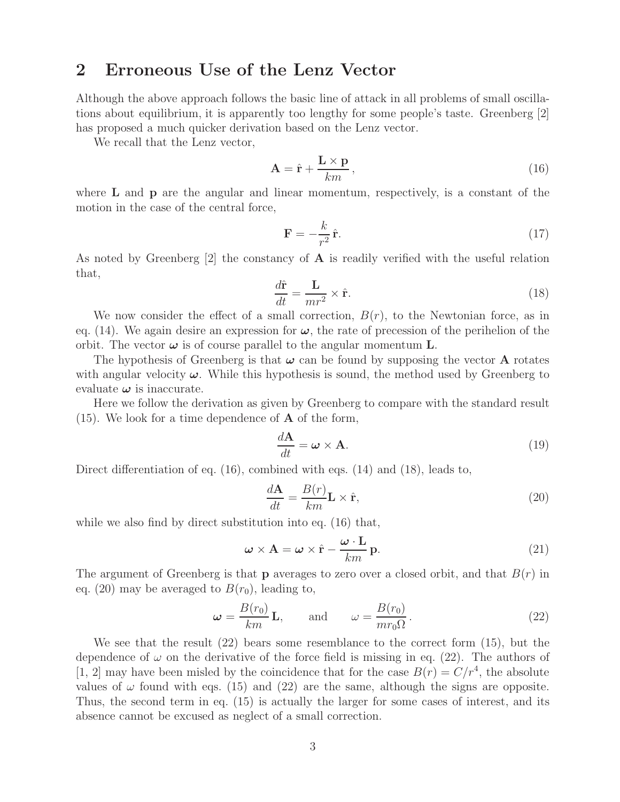# **2 Erroneous Use of the Lenz Vector**

Although the above approach follows the basic line of attack in all problems of small oscillations about equilibrium, it is apparently too lengthy for some people's taste. Greenberg [2] has proposed a much quicker derivation based on the Lenz vector.

We recall that the Lenz vector,

$$
\mathbf{A} = \hat{\mathbf{r}} + \frac{\mathbf{L} \times \mathbf{p}}{km},\tag{16}
$$

where **L** and **p** are the angular and linear momentum, respectively, is a constant of the motion in the case of the central force,

$$
\mathbf{F} = -\frac{k}{r^2}\hat{\mathbf{r}}.\tag{17}
$$

As noted by Greenberg [2] the constancy of **A** is readily verified with the useful relation that,

$$
\frac{d\hat{\mathbf{r}}}{dt} = \frac{\mathbf{L}}{mr^2} \times \hat{\mathbf{r}}.\tag{18}
$$

We now consider the effect of a small correction,  $B(r)$ , to the Newtonian force, as in eq. (14). We again desire an expression for  $\omega$ , the rate of precession of the perihelion of the orbit. The vector  $\boldsymbol{\omega}$  is of course parallel to the angular momentum **L**.

The hypothesis of Greenberg is that  $\omega$  can be found by supposing the vector **A** rotates with angular velocity  $\omega$ . While this hypothesis is sound, the method used by Greenberg to evaluate  $\omega$  is inaccurate.

Here we follow the derivation as given by Greenberg to compare with the standard result (15). We look for a time dependence of **A** of the form,

$$
\frac{d\mathbf{A}}{dt} = \boldsymbol{\omega} \times \mathbf{A}.\tag{19}
$$

Direct differentiation of eq. (16), combined with eqs. (14) and (18), leads to,

$$
\frac{d\mathbf{A}}{dt} = \frac{B(r)}{km} \mathbf{L} \times \hat{\mathbf{r}},\tag{20}
$$

while we also find by direct substitution into eq.  $(16)$  that,

$$
\boldsymbol{\omega} \times \mathbf{A} = \boldsymbol{\omega} \times \hat{\mathbf{r}} - \frac{\boldsymbol{\omega} \cdot \mathbf{L}}{km} \mathbf{p}.
$$
 (21)

The argument of Greenberg is that **p** averages to zero over a closed orbit, and that  $B(r)$  in eq. (20) may be averaged to  $B(r_0)$ , leading to,

$$
\omega = \frac{B(r_0)}{km} \mathbf{L}, \quad \text{and} \quad \omega = \frac{B(r_0)}{mr_0 \Omega}.
$$
 (22)

We see that the result (22) bears some resemblance to the correct form (15), but the dependence of  $\omega$  on the derivative of the force field is missing in eq. (22). The authors of [1, 2] may have been misled by the coincidence that for the case  $B(r) = C/r^4$ , the absolute values of  $\omega$  found with eqs. (15) and (22) are the same, although the signs are opposite. Thus, the second term in eq. (15) is actually the larger for some cases of interest, and its absence cannot be excused as neglect of a small correction.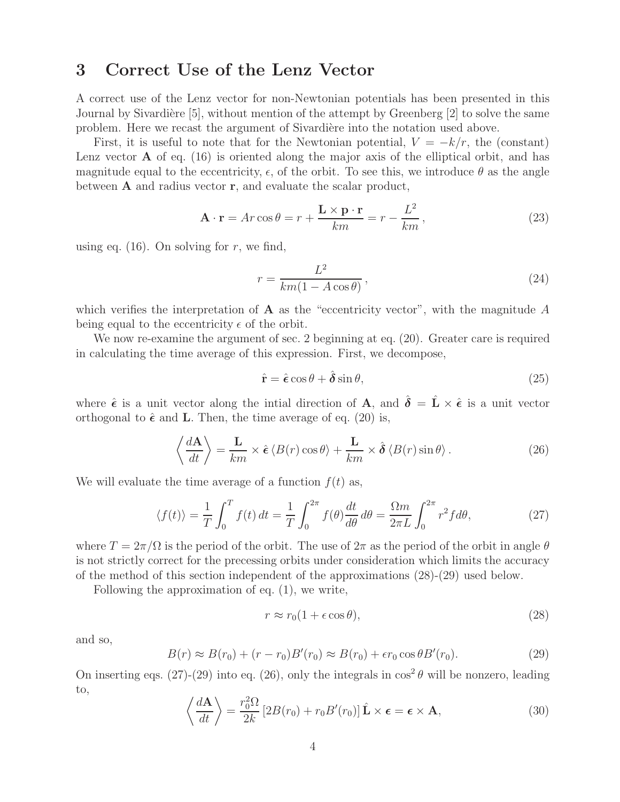# **3 Correct Use of the Lenz Vector**

A correct use of the Lenz vector for non-Newtonian potentials has been presented in this Journal by Sivardière [5], without mention of the attempt by Greenberg  $[2]$  to solve the same problem. Here we recast the argument of Sivardière into the notation used above.

First, it is useful to note that for the Newtonian potential,  $V = -k/r$ , the (constant) Lenz vector **A** of eq. (16) is oriented along the major axis of the elliptical orbit, and has magnitude equal to the eccentricity,  $\epsilon$ , of the orbit. To see this, we introduce  $\theta$  as the angle between **A** and radius vector **r**, and evaluate the scalar product,

$$
\mathbf{A} \cdot \mathbf{r} = Ar \cos \theta = r + \frac{\mathbf{L} \times \mathbf{p} \cdot \mathbf{r}}{km} = r - \frac{L^2}{km},
$$
 (23)

using eq.  $(16)$ . On solving for r, we find,

$$
r = \frac{L^2}{km(1 - A\cos\theta)},\tag{24}
$$

which verifies the interpretation of  $A$  as the "eccentricity vector", with the magnitude  $A$ being equal to the eccentricity  $\epsilon$  of the orbit.

We now re-examine the argument of sec. 2 beginning at eq.  $(20)$ . Greater care is required in calculating the time average of this expression. First, we decompose,

$$
\hat{\mathbf{r}} = \hat{\boldsymbol{\epsilon}} \cos \theta + \hat{\boldsymbol{\delta}} \sin \theta, \tag{25}
$$

where  $\hat{\epsilon}$  is a unit vector along the intial direction of **A**, and  $\hat{\delta} = \hat{\mathbf{L}} \times \hat{\epsilon}$  is a unit vector orthogonal to  $\hat{\epsilon}$  and **L**. Then, the time average of eq. (20) is,

$$
\left\langle \frac{d\mathbf{A}}{dt} \right\rangle = \frac{\mathbf{L}}{km} \times \hat{\boldsymbol{\epsilon}} \left\langle B(r) \cos \theta \right\rangle + \frac{\mathbf{L}}{km} \times \hat{\boldsymbol{\delta}} \left\langle B(r) \sin \theta \right\rangle.
$$
 (26)

We will evaluate the time average of a function  $f(t)$  as,

$$
\langle f(t) \rangle = \frac{1}{T} \int_0^T f(t) dt = \frac{1}{T} \int_0^{2\pi} f(\theta) \frac{dt}{d\theta} d\theta = \frac{\Omega m}{2\pi L} \int_0^{2\pi} r^2 f d\theta,
$$
 (27)

where  $T = 2\pi/\Omega$  is the period of the orbit. The use of  $2\pi$  as the period of the orbit in angle  $\theta$ is not strictly correct for the precessing orbits under consideration which limits the accuracy of the method of this section independent of the approximations (28)-(29) used below.

Following the approximation of eq. (1), we write,

$$
r \approx r_0(1 + \epsilon \cos \theta),\tag{28}
$$

and so,

$$
B(r) \approx B(r_0) + (r - r_0)B'(r_0) \approx B(r_0) + \epsilon r_0 \cos \theta B'(r_0). \tag{29}
$$

On inserting eqs. (27)-(29) into eq. (26), only the integrals in  $\cos^2 \theta$  will be nonzero, leading to,

$$
\left\langle \frac{d\mathbf{A}}{dt} \right\rangle = \frac{r_0^2 \Omega}{2k} \left[ 2B(r_0) + r_0 B'(r_0) \right] \hat{\mathbf{L}} \times \boldsymbol{\epsilon} = \boldsymbol{\epsilon} \times \mathbf{A},\tag{30}
$$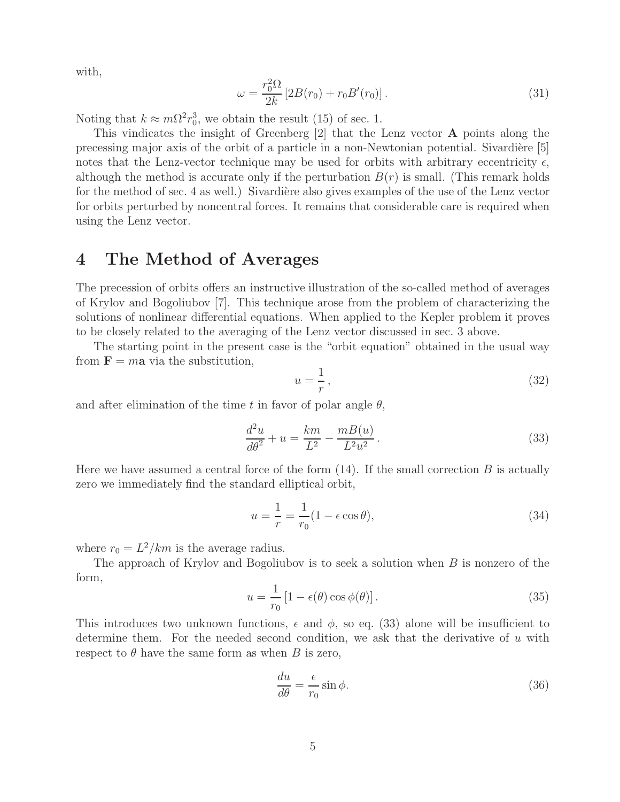with,

$$
\omega = \frac{r_0^2 \Omega}{2k} \left[ 2B(r_0) + r_0 B'(r_0) \right]. \tag{31}
$$

Noting that  $k \approx m\Omega^2 r_0^3$ , we obtain the result (15) of sec. 1.

This vindicates the insight of Greenberg [2] that the Lenz vector **A** points along the precessing major axis of the orbit of a particle in a non-Newtonian potential. Sivardière  $[5]$ notes that the Lenz-vector technique may be used for orbits with arbitrary eccentricity  $\epsilon$ , although the method is accurate only if the perturbation  $B(r)$  is small. (This remark holds for the method of sec. 4 as well.) Sivardière also gives examples of the use of the Lenz vector for orbits perturbed by noncentral forces. It remains that considerable care is required when using the Lenz vector.

#### **4 The Method of Averages**

The precession of orbits offers an instructive illustration of the so-called method of averages of Krylov and Bogoliubov [7]. This technique arose from the problem of characterizing the solutions of nonlinear differential equations. When applied to the Kepler problem it proves to be closely related to the averaging of the Lenz vector discussed in sec. 3 above.

The starting point in the present case is the "orbit equation" obtained in the usual way from  $\mathbf{F} = m\mathbf{a}$  via the substitution,

$$
u = \frac{1}{r},\tag{32}
$$

and after elimination of the time t in favor of polar angle  $\theta$ ,

$$
\frac{d^2u}{d\theta^2} + u = \frac{km}{L^2} - \frac{m(1)}{L^2 u^2}.
$$
\n(33)

Here we have assumed a central force of the form  $(14)$ . If the small correction B is actually zero we immediately find the standard elliptical orbit,

$$
u = \frac{1}{r} = \frac{1}{r_0} (1 - \epsilon \cos \theta),\tag{34}
$$

where  $r_0 = L^2/km$  is the average radius.

The approach of Krylov and Bogoliubov is to seek a solution when  $B$  is nonzero of the form,

$$
u = \frac{1}{r_0} \left[ 1 - \epsilon(\theta) \cos \phi(\theta) \right]. \tag{35}
$$

This introduces two unknown functions,  $\epsilon$  and  $\phi$ , so eq. (33) alone will be insufficient to determine them. For the needed second condition, we ask that the derivative of u with respect to  $\theta$  have the same form as when B is zero,

$$
\frac{du}{d\theta} = \frac{\epsilon}{r_0} \sin \phi. \tag{36}
$$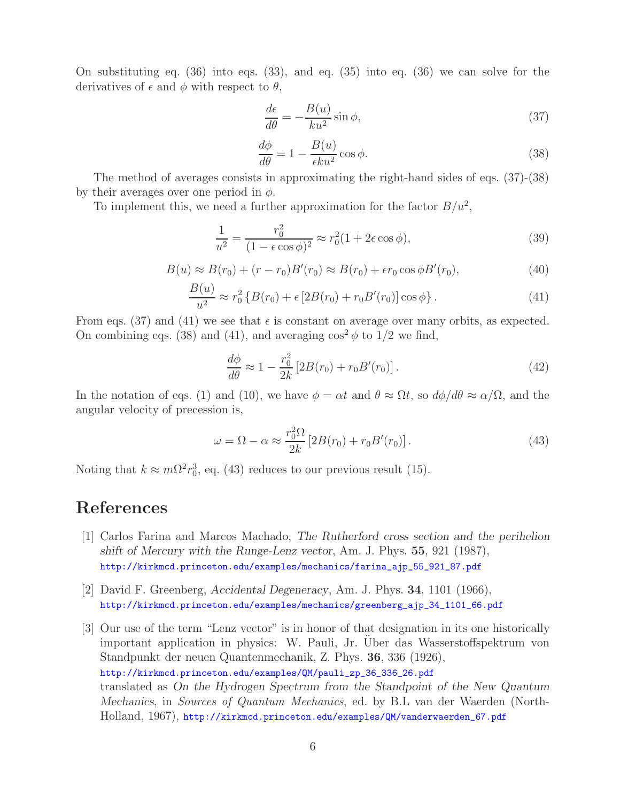On substituting eq. (36) into eqs. (33), and eq. (35) into eq. (36) we can solve for the derivatives of  $\epsilon$  and  $\phi$  with respect to  $\theta$ ,

$$
\frac{d\epsilon}{d\theta} = -\frac{B(u)}{ku^2}\sin\phi,\tag{37}
$$

$$
\frac{d\phi}{d\theta} = 1 - \frac{B(u)}{\epsilon ku^2} \cos \phi.
$$
\n(38)

The method of averages consists in approximating the right-hand sides of eqs. (37)-(38) by their averages over one period in  $\phi$ .

To implement this, we need a further approximation for the factor  $B/u^2$ ,

$$
\frac{1}{u^2} = \frac{r_0^2}{(1 - \epsilon \cos \phi)^2} \approx r_0^2 (1 + 2\epsilon \cos \phi),\tag{39}
$$

$$
B(u) \approx B(r_0) + (r - r_0)B'(r_0) \approx B(r_0) + \epsilon r_0 \cos \phi B'(r_0),\tag{40}
$$

$$
\frac{B(u)}{u^2} \approx r_0^2 \left\{ B(r_0) + \epsilon \left[ 2B(r_0) + r_0 B'(r_0) \right] \cos \phi \right\}.
$$
 (41)

From eqs. (37) and (41) we see that  $\epsilon$  is constant on average over many orbits, as expected. On combining eqs. (38) and (41), and averaging  $\cos^2 \phi$  to 1/2 we find,

$$
\frac{d\phi}{d\theta} \approx 1 - \frac{r_0^2}{2k} \left[ 2B(r_0) + r_0 B'(r_0) \right].
$$
\n(42)

In the notation of eqs. (1) and (10), we have  $\phi = \alpha t$  and  $\theta \approx \Omega t$ , so  $d\phi/d\theta \approx \alpha/\Omega$ , and the angular velocity of precession is,

$$
\omega = \Omega - \alpha \approx \frac{r_0^2 \Omega}{2k} \left[ 2B(r_0) + r_0 B'(r_0) \right]. \tag{43}
$$

Noting that  $k \approx m\Omega^2 r_0^3$ , eq. (43) reduces to our previous result (15).

# **References**

- [1] Carlos Farina and Marcos Machado, *The Rutherford cross section and the perihelion shift of Mercury with the Runge-Lenz vector*, Am. J. Phys. **55**, 921 (1987), http://kirkmcd.princeton.edu/examples/mechanics/farina\_ajp\_55\_921\_87.pdf
- [2] David F. Greenberg, *Accidental Degeneracy*, Am. J. Phys. **34**, 1101 (1966), http://kirkmcd.princeton.edu/examples/mechanics/greenberg\_ajp\_34\_1101\_66.pdf
- [3] Our use of the term "Lenz vector" is in honor of that designation in its one historically important application in physics: W. Pauli, Jr. Uber das Wasserstoffspektrum von Standpunkt der neuen Quantenmechanik, Z. Phys. **36**, 336 (1926), http://kirkmcd.princeton.edu/examples/QM/pauli\_zp\_36\_336\_26.pdf translated as *On the Hydrogen Spectrum from the Standpoint of the New Quantum Mechanics*, in *Sources of Quantum Mechanics*, ed. by B.L van der Waerden (North-Holland, 1967), http://kirkmcd.princeton.edu/examples/QM/vanderwaerden\_67.pdf